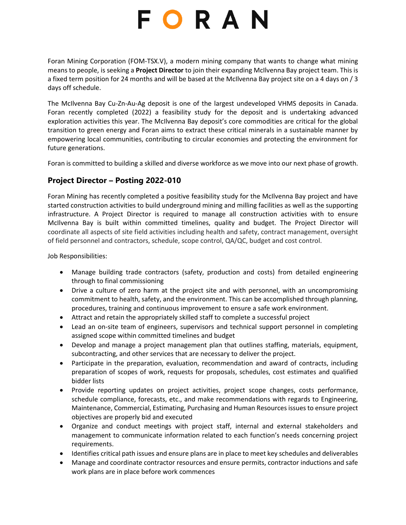## FORAN

Foran Mining Corporation (FOM-TSX.V), a modern mining company that wants to change what mining means to people, is seeking a **Project Director** to join their expanding McIlvenna Bay project team. This is a fixed term position for 24 months and will be based at the McIlvenna Bay project site on a 4 days on / 3 days off schedule.

The McIlvenna Bay Cu-Zn-Au-Ag deposit is one of the largest undeveloped VHMS deposits in Canada. Foran recently completed (2022) a feasibility study for the deposit and is undertaking advanced exploration activities this year. The McIlvenna Bay deposit's core commodities are critical for the global transition to green energy and Foran aims to extract these critical minerals in a sustainable manner by empowering local communities, contributing to circular economies and protecting the environment for future generations.

Foran is committed to building a skilled and diverse workforce as we move into our next phase of growth.

## **Project Director – Posting 2022-010**

Foran Mining has recently completed a positive feasibility study for the McIlvenna Bay project and have started construction activities to build underground mining and milling facilities as well as the supporting infrastructure. A Project Director is required to manage all construction activities with to ensure McIlvenna Bay is built within committed timelines, quality and budget. The Project Director will coordinate all aspects of site field activities including health and safety, contract management, oversight of field personnel and contractors, schedule, scope control, QA/QC, budget and cost control.

Job Responsibilities:

- Manage building trade contractors (safety, production and costs) from detailed engineering through to final commissioning
- Drive a culture of zero harm at the project site and with personnel, with an uncompromising commitment to health, safety, and the environment. This can be accomplished through planning, procedures, training and continuous improvement to ensure a safe work environment.
- Attract and retain the appropriately skilled staff to complete a successful project
- Lead an on-site team of engineers, supervisors and technical support personnel in completing assigned scope within committed timelines and budget
- Develop and manage a project management plan that outlines staffing, materials, equipment, subcontracting, and other services that are necessary to deliver the project.
- Participate in the preparation, evaluation, recommendation and award of contracts, including preparation of scopes of work, requests for proposals, schedules, cost estimates and qualified bidder lists
- Provide reporting updates on project activities, project scope changes, costs performance, schedule compliance, forecasts, etc., and make recommendations with regards to Engineering, Maintenance, Commercial, Estimating, Purchasing and Human Resources issues to ensure project objectives are properly bid and executed
- Organize and conduct meetings with project staff, internal and external stakeholders and management to communicate information related to each function's needs concerning project requirements.
- Identifies critical path issues and ensure plans are in place to meet key schedules and deliverables
- Manage and coordinate contractor resources and ensure permits, contractor inductions and safe work plans are in place before work commences